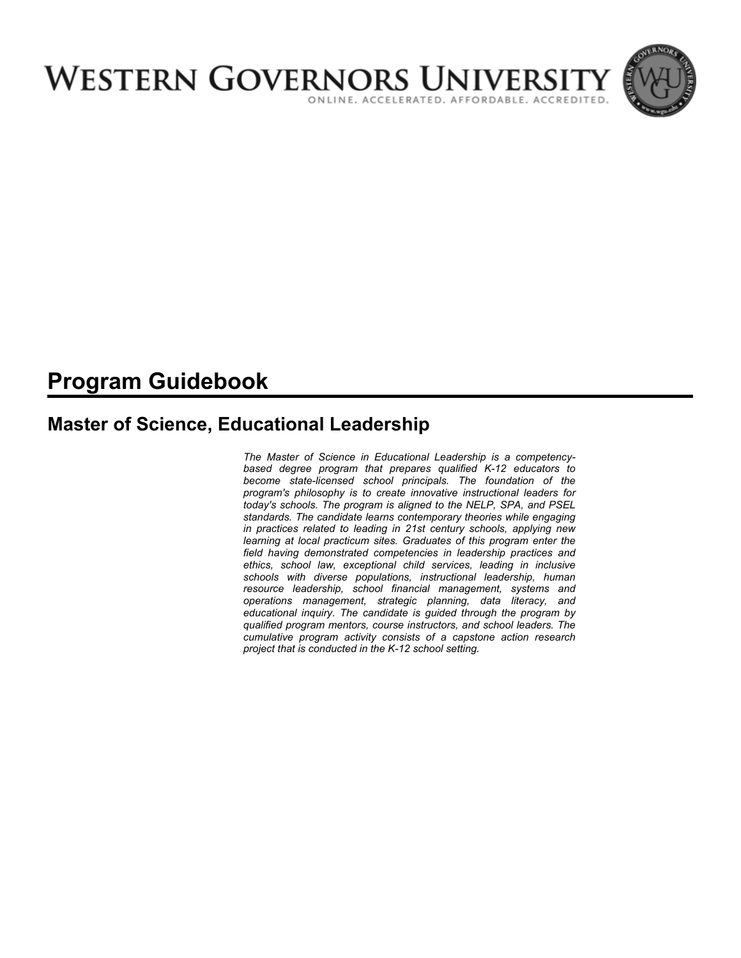

# **Program Guidebook**

# **Master of Science, Educational Leadership**

*The Master of Science in Educational Leadership is a competencybased degree program that prepares qualified K-12 educators to become state-licensed school principals. The foundation of the program's philosophy is to create innovative instructional leaders for today's schools. The program is aligned to the NELP, SPA, and PSEL standards. The candidate learns contemporary theories while engaging in practices related to leading in 21st century schools, applying new learning at local practicum sites. Graduates of this program enter the field having demonstrated competencies in leadership practices and ethics, school law, exceptional child services, leading in inclusive schools with diverse populations, instructional leadership, human resource leadership, school financial management, systems and operations management, strategic planning, data literacy, and educational inquiry. The candidate is guided through the program by qualified program mentors, course instructors, and school leaders. The cumulative program activity consists of a capstone action research project that is conducted in the K-12 school setting.*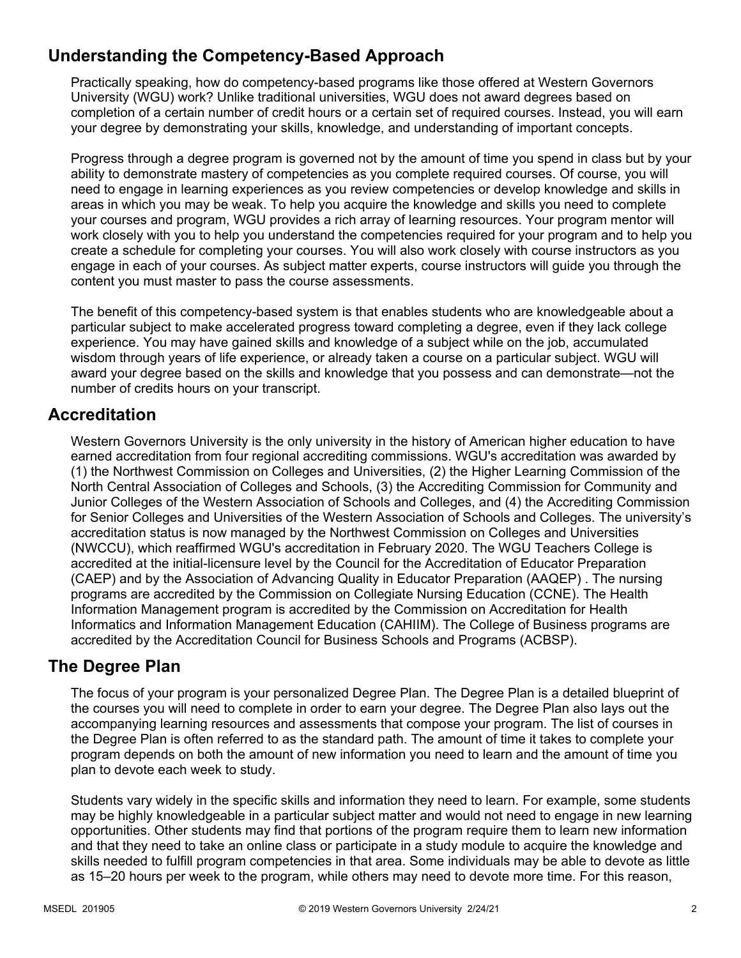# **Understanding the Competency-Based Approach**

Practically speaking, how do competency-based programs like those offered at Western Governors University (WGU) work? Unlike traditional universities, WGU does not award degrees based on completion of a certain number of credit hours or a certain set of required courses. Instead, you will earn your degree by demonstrating your skills, knowledge, and understanding of important concepts.

Progress through a degree program is governed not by the amount of time you spend in class but by your ability to demonstrate mastery of competencies as you complete required courses. Of course, you will need to engage in learning experiences as you review competencies or develop knowledge and skills in areas in which you may be weak. To help you acquire the knowledge and skills you need to complete your courses and program, WGU provides a rich array of learning resources. Your program mentor will work closely with you to help you understand the competencies required for your program and to help you create a schedule for completing your courses. You will also work closely with course instructors as you engage in each of your courses. As subject matter experts, course instructors will guide you through the content you must master to pass the course assessments.

The benefit of this competency-based system is that enables students who are knowledgeable about a particular subject to make accelerated progress toward completing a degree, even if they lack college experience. You may have gained skills and knowledge of a subject while on the job, accumulated wisdom through years of life experience, or already taken a course on a particular subject. WGU will award your degree based on the skills and knowledge that you possess and can demonstrate—not the number of credits hours on your transcript.

### **Accreditation**

Western Governors University is the only university in the history of American higher education to have earned accreditation from four regional accrediting commissions. WGU's accreditation was awarded by (1) the Northwest Commission on Colleges and Universities, (2) the Higher Learning Commission of the North Central Association of Colleges and Schools, (3) the Accrediting Commission for Community and Junior Colleges of the Western Association of Schools and Colleges, and (4) the Accrediting Commission for Senior Colleges and Universities of the Western Association of Schools and Colleges. The university's accreditation status is now managed by the Northwest Commission on Colleges and Universities (NWCCU), which reaffirmed WGU's accreditation in February 2020. The WGU Teachers College is accredited at the initial-licensure level by the Council for the Accreditation of Educator Preparation (CAEP) and by the Association of Advancing Quality in Educator Preparation (AAQEP) . The nursing programs are accredited by the Commission on Collegiate Nursing Education (CCNE). The Health Information Management program is accredited by the Commission on Accreditation for Health Informatics and Information Management Education (CAHIIM). The College of Business programs are accredited by the Accreditation Council for Business Schools and Programs (ACBSP).

### **The Degree Plan**

The focus of your program is your personalized Degree Plan. The Degree Plan is a detailed blueprint of the courses you will need to complete in order to earn your degree. The Degree Plan also lays out the accompanying learning resources and assessments that compose your program. The list of courses in the Degree Plan is often referred to as the standard path. The amount of time it takes to complete your program depends on both the amount of new information you need to learn and the amount of time you plan to devote each week to study.

Students vary widely in the specific skills and information they need to learn. For example, some students may be highly knowledgeable in a particular subject matter and would not need to engage in new learning opportunities. Other students may find that portions of the program require them to learn new information and that they need to take an online class or participate in a study module to acquire the knowledge and skills needed to fulfill program competencies in that area. Some individuals may be able to devote as little as 15–20 hours per week to the program, while others may need to devote more time. For this reason,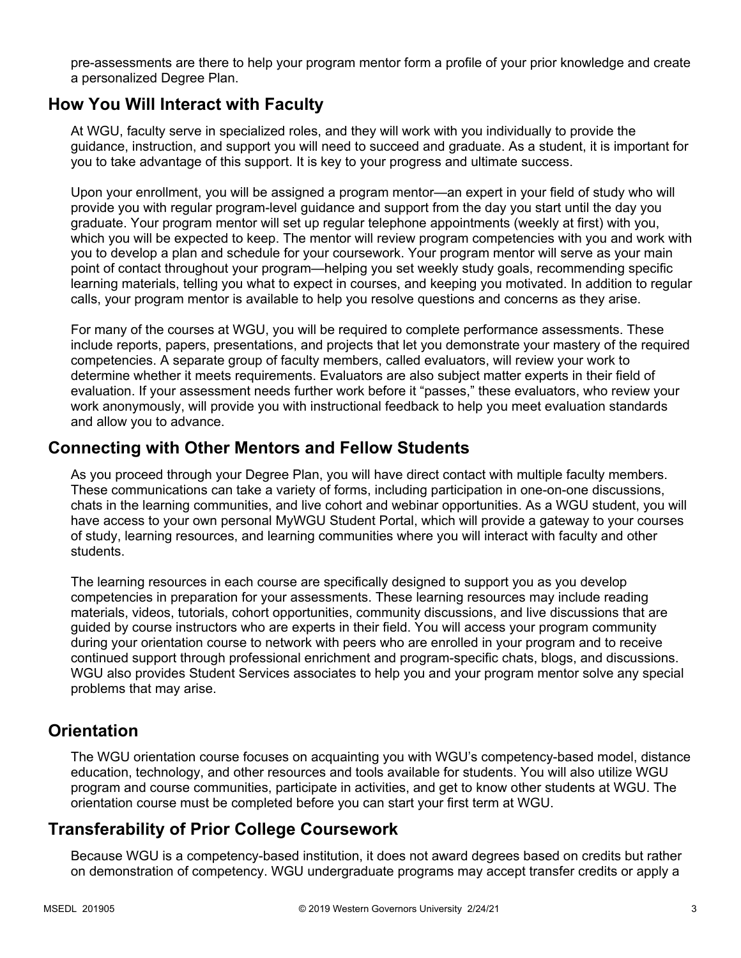pre-assessments are there to help your program mentor form a profile of your prior knowledge and create a personalized Degree Plan.

### **How You Will Interact with Faculty**

At WGU, faculty serve in specialized roles, and they will work with you individually to provide the guidance, instruction, and support you will need to succeed and graduate. As a student, it is important for you to take advantage of this support. It is key to your progress and ultimate success.

Upon your enrollment, you will be assigned a program mentor—an expert in your field of study who will provide you with regular program-level guidance and support from the day you start until the day you graduate. Your program mentor will set up regular telephone appointments (weekly at first) with you, which you will be expected to keep. The mentor will review program competencies with you and work with you to develop a plan and schedule for your coursework. Your program mentor will serve as your main point of contact throughout your program—helping you set weekly study goals, recommending specific learning materials, telling you what to expect in courses, and keeping you motivated. In addition to regular calls, your program mentor is available to help you resolve questions and concerns as they arise.

For many of the courses at WGU, you will be required to complete performance assessments. These include reports, papers, presentations, and projects that let you demonstrate your mastery of the required competencies. A separate group of faculty members, called evaluators, will review your work to determine whether it meets requirements. Evaluators are also subject matter experts in their field of evaluation. If your assessment needs further work before it "passes," these evaluators, who review your work anonymously, will provide you with instructional feedback to help you meet evaluation standards and allow you to advance.

### **Connecting with Other Mentors and Fellow Students**

As you proceed through your Degree Plan, you will have direct contact with multiple faculty members. These communications can take a variety of forms, including participation in one-on-one discussions, chats in the learning communities, and live cohort and webinar opportunities. As a WGU student, you will have access to your own personal MyWGU Student Portal, which will provide a gateway to your courses of study, learning resources, and learning communities where you will interact with faculty and other students.

The learning resources in each course are specifically designed to support you as you develop competencies in preparation for your assessments. These learning resources may include reading materials, videos, tutorials, cohort opportunities, community discussions, and live discussions that are guided by course instructors who are experts in their field. You will access your program community during your orientation course to network with peers who are enrolled in your program and to receive continued support through professional enrichment and program-specific chats, blogs, and discussions. WGU also provides Student Services associates to help you and your program mentor solve any special problems that may arise.

### **Orientation**

The WGU orientation course focuses on acquainting you with WGU's competency-based model, distance education, technology, and other resources and tools available for students. You will also utilize WGU program and course communities, participate in activities, and get to know other students at WGU. The orientation course must be completed before you can start your first term at WGU.

## **Transferability of Prior College Coursework**

Because WGU is a competency-based institution, it does not award degrees based on credits but rather on demonstration of competency. WGU undergraduate programs may accept transfer credits or apply a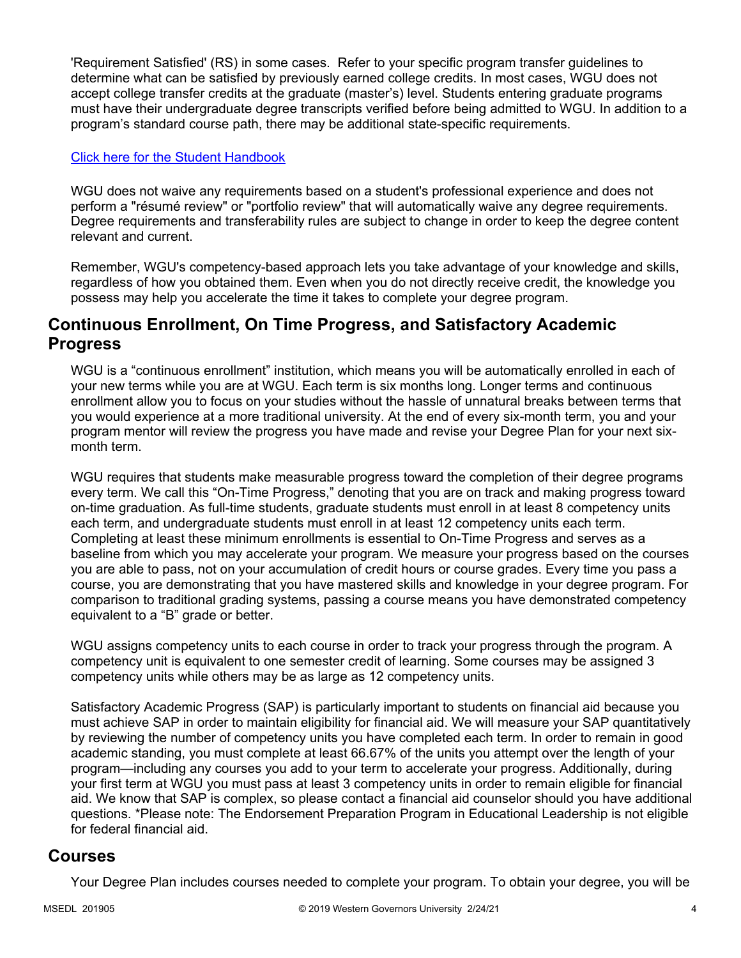'Requirement Satisfied' (RS) in some cases. Refer to your specific program transfer guidelines to determine what can be satisfied by previously earned college credits. In most cases, WGU does not accept college transfer credits at the graduate (master's) level. Students entering graduate programs must have their undergraduate degree transcripts verified before being admitted to WGU. In addition to a program's standard course path, there may be additional state-specific requirements.

#### [Click here for the Student Handbook](http://cm.wgu.edu/)

WGU does not waive any requirements based on a student's professional experience and does not perform a "résumé review" or "portfolio review" that will automatically waive any degree requirements. Degree requirements and transferability rules are subject to change in order to keep the degree content relevant and current.

Remember, WGU's competency-based approach lets you take advantage of your knowledge and skills, regardless of how you obtained them. Even when you do not directly receive credit, the knowledge you possess may help you accelerate the time it takes to complete your degree program.

### **Continuous Enrollment, On Time Progress, and Satisfactory Academic Progress**

WGU is a "continuous enrollment" institution, which means you will be automatically enrolled in each of your new terms while you are at WGU. Each term is six months long. Longer terms and continuous enrollment allow you to focus on your studies without the hassle of unnatural breaks between terms that you would experience at a more traditional university. At the end of every six-month term, you and your program mentor will review the progress you have made and revise your Degree Plan for your next sixmonth term.

WGU requires that students make measurable progress toward the completion of their degree programs every term. We call this "On-Time Progress," denoting that you are on track and making progress toward on-time graduation. As full-time students, graduate students must enroll in at least 8 competency units each term, and undergraduate students must enroll in at least 12 competency units each term. Completing at least these minimum enrollments is essential to On-Time Progress and serves as a baseline from which you may accelerate your program. We measure your progress based on the courses you are able to pass, not on your accumulation of credit hours or course grades. Every time you pass a course, you are demonstrating that you have mastered skills and knowledge in your degree program. For comparison to traditional grading systems, passing a course means you have demonstrated competency equivalent to a "B" grade or better.

WGU assigns competency units to each course in order to track your progress through the program. A competency unit is equivalent to one semester credit of learning. Some courses may be assigned 3 competency units while others may be as large as 12 competency units.

Satisfactory Academic Progress (SAP) is particularly important to students on financial aid because you must achieve SAP in order to maintain eligibility for financial aid. We will measure your SAP quantitatively by reviewing the number of competency units you have completed each term. In order to remain in good academic standing, you must complete at least 66.67% of the units you attempt over the length of your program—including any courses you add to your term to accelerate your progress. Additionally, during your first term at WGU you must pass at least 3 competency units in order to remain eligible for financial aid. We know that SAP is complex, so please contact a financial aid counselor should you have additional questions. \*Please note: The Endorsement Preparation Program in Educational Leadership is not eligible for federal financial aid.

### **Courses**

Your Degree Plan includes courses needed to complete your program. To obtain your degree, you will be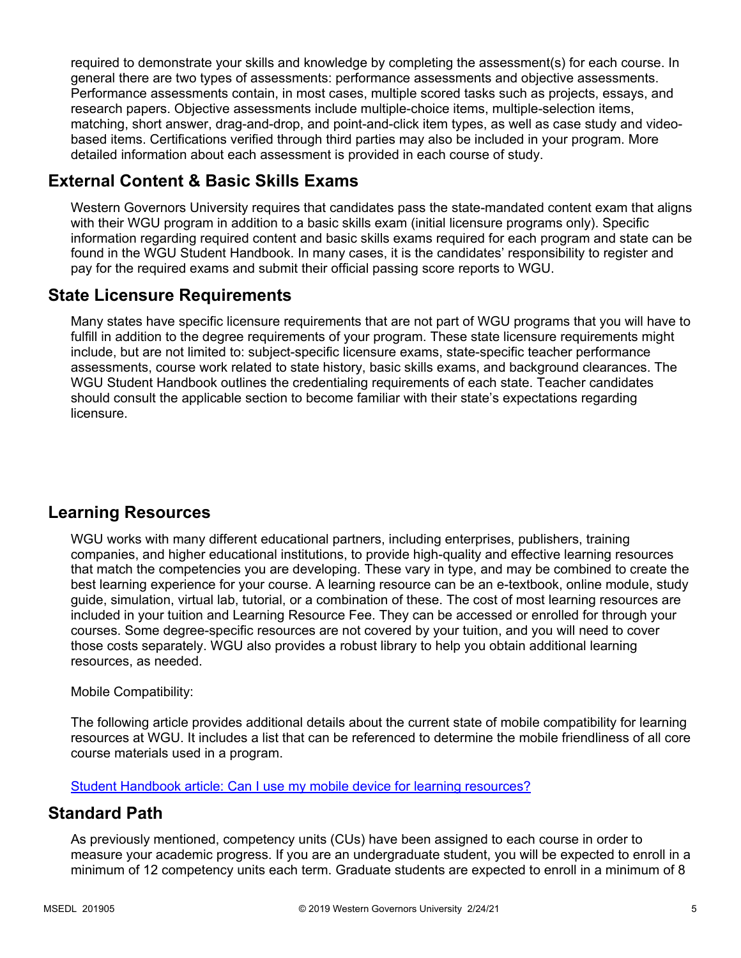required to demonstrate your skills and knowledge by completing the assessment(s) for each course. In general there are two types of assessments: performance assessments and objective assessments. Performance assessments contain, in most cases, multiple scored tasks such as projects, essays, and research papers. Objective assessments include multiple-choice items, multiple-selection items, matching, short answer, drag-and-drop, and point-and-click item types, as well as case study and videobased items. Certifications verified through third parties may also be included in your program. More detailed information about each assessment is provided in each course of study.

## **External Content & Basic Skills Exams**

Western Governors University requires that candidates pass the state-mandated content exam that aligns with their WGU program in addition to a basic skills exam (initial licensure programs only). Specific information regarding required content and basic skills exams required for each program and state can be found in the WGU Student Handbook. In many cases, it is the candidates' responsibility to register and pay for the required exams and submit their official passing score reports to WGU.

### **State Licensure Requirements**

Many states have specific licensure requirements that are not part of WGU programs that you will have to fulfill in addition to the degree requirements of your program. These state licensure requirements might include, but are not limited to: subject-specific licensure exams, state-specific teacher performance assessments, course work related to state history, basic skills exams, and background clearances. The WGU Student Handbook outlines the credentialing requirements of each state. Teacher candidates should consult the applicable section to become familiar with their state's expectations regarding licensure.

## **Learning Resources**

WGU works with many different educational partners, including enterprises, publishers, training companies, and higher educational institutions, to provide high-quality and effective learning resources that match the competencies you are developing. These vary in type, and may be combined to create the best learning experience for your course. A learning resource can be an e-textbook, online module, study guide, simulation, virtual lab, tutorial, or a combination of these. The cost of most learning resources are included in your tuition and Learning Resource Fee. They can be accessed or enrolled for through your courses. Some degree-specific resources are not covered by your tuition, and you will need to cover those costs separately. WGU also provides a robust library to help you obtain additional learning resources, as needed.

### Mobile Compatibility:

The following article provides additional details about the current state of mobile compatibility for learning resources at WGU. It includes a list that can be referenced to determine the mobile friendliness of all core course materials used in a program.

[Student Handbook article: Can I use my mobile device for learning resources?](https://cm.wgu.edu/t5/Frequently-Asked-Questions/Can-I-use-my-mobile-device-for-learning-resources/ta-p/396)

### **Standard Path**

As previously mentioned, competency units (CUs) have been assigned to each course in order to measure your academic progress. If you are an undergraduate student, you will be expected to enroll in a minimum of 12 competency units each term. Graduate students are expected to enroll in a minimum of 8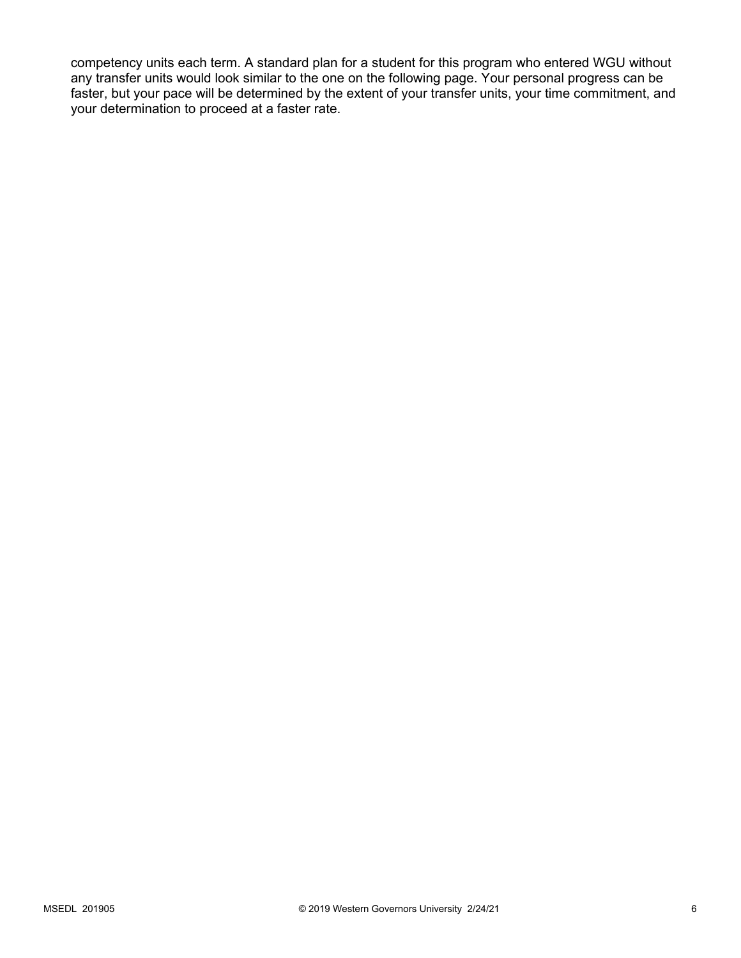competency units each term. A standard plan for a student for this program who entered WGU without any transfer units would look similar to the one on the following page. Your personal progress can be faster, but your pace will be determined by the extent of your transfer units, your time commitment, and your determination to proceed at a faster rate.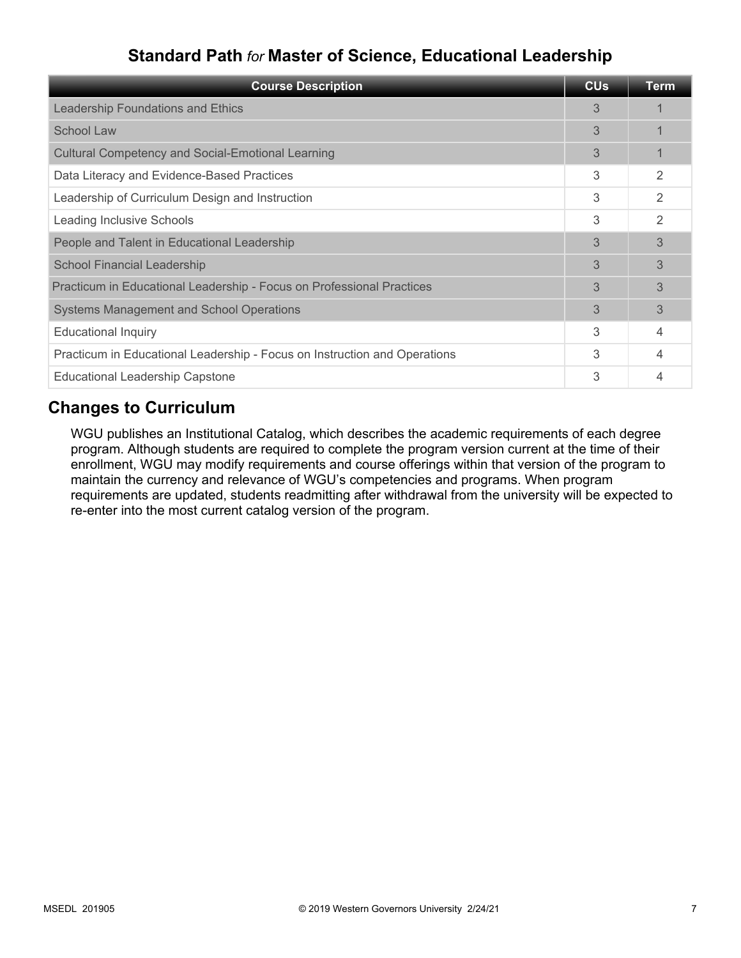# **Standard Path** *for* **Master of Science, Educational Leadership**

| <b>Course Description</b>                                                 | <b>CU<sub>s</sub></b> | <b>Term</b> |
|---------------------------------------------------------------------------|-----------------------|-------------|
| Leadership Foundations and Ethics                                         | 3                     |             |
| School Law                                                                | 3                     |             |
| <b>Cultural Competency and Social-Emotional Learning</b>                  | 3                     |             |
| Data Literacy and Evidence-Based Practices                                | 3                     | 2           |
| Leadership of Curriculum Design and Instruction                           | 3                     | 2           |
| Leading Inclusive Schools                                                 | 3                     | 2           |
| People and Talent in Educational Leadership                               | 3                     | 3           |
| <b>School Financial Leadership</b>                                        | 3                     | 3           |
| Practicum in Educational Leadership - Focus on Professional Practices     | 3                     | 3           |
| <b>Systems Management and School Operations</b>                           | 3                     | 3           |
| <b>Educational Inquiry</b>                                                | 3                     | 4           |
| Practicum in Educational Leadership - Focus on Instruction and Operations | 3                     | 4           |
| <b>Educational Leadership Capstone</b>                                    | 3                     |             |

### **Changes to Curriculum**

WGU publishes an Institutional Catalog, which describes the academic requirements of each degree program. Although students are required to complete the program version current at the time of their enrollment, WGU may modify requirements and course offerings within that version of the program to maintain the currency and relevance of WGU's competencies and programs. When program requirements are updated, students readmitting after withdrawal from the university will be expected to re-enter into the most current catalog version of the program.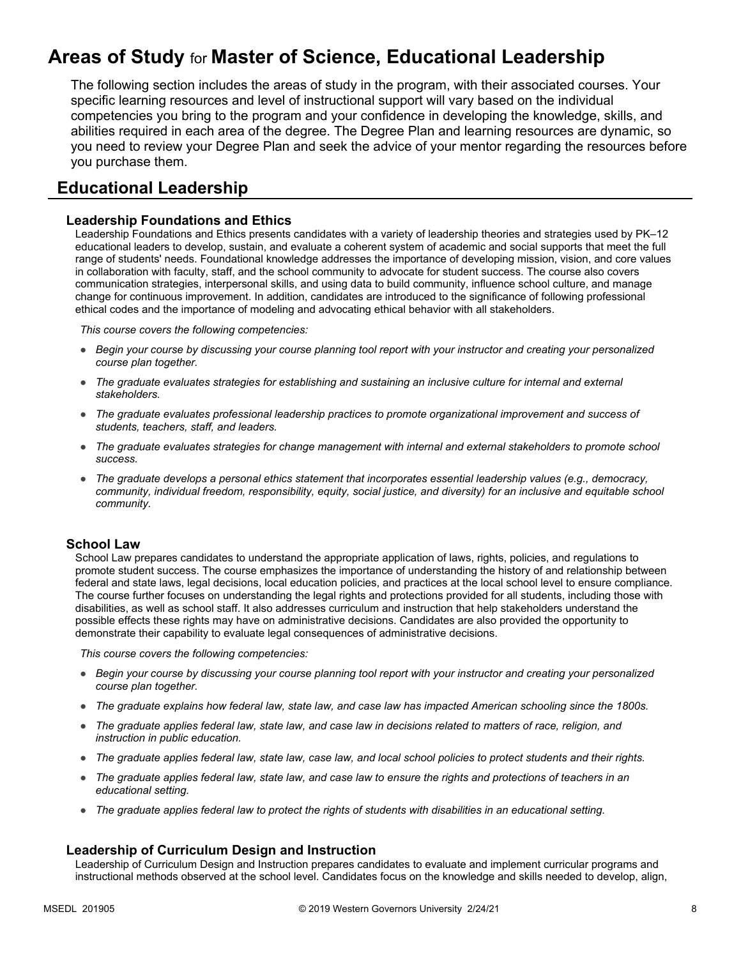# **Areas of Study** for **Master of Science, Educational Leadership**

The following section includes the areas of study in the program, with their associated courses. Your specific learning resources and level of instructional support will vary based on the individual competencies you bring to the program and your confidence in developing the knowledge, skills, and abilities required in each area of the degree. The Degree Plan and learning resources are dynamic, so you need to review your Degree Plan and seek the advice of your mentor regarding the resources before you purchase them.

### **Educational Leadership**

#### **Leadership Foundations and Ethics**

Leadership Foundations and Ethics presents candidates with a variety of leadership theories and strategies used by PK–12 educational leaders to develop, sustain, and evaluate a coherent system of academic and social supports that meet the full range of students' needs. Foundational knowledge addresses the importance of developing mission, vision, and core values in collaboration with faculty, staff, and the school community to advocate for student success. The course also covers communication strategies, interpersonal skills, and using data to build community, influence school culture, and manage change for continuous improvement. In addition, candidates are introduced to the significance of following professional ethical codes and the importance of modeling and advocating ethical behavior with all stakeholders.

*This course covers the following competencies:*

- *Begin your course by discussing your course planning tool report with your instructor and creating your personalized course plan together.*
- *The graduate evaluates strategies for establishing and sustaining an inclusive culture for internal and external stakeholders.*
- *The graduate evaluates professional leadership practices to promote organizational improvement and success of students, teachers, staff, and leaders.*
- *The graduate evaluates strategies for change management with internal and external stakeholders to promote school success.*
- *The graduate develops a personal ethics statement that incorporates essential leadership values (e.g., democracy, community, individual freedom, responsibility, equity, social justice, and diversity) for an inclusive and equitable school community.*

#### **School Law**

School Law prepares candidates to understand the appropriate application of laws, rights, policies, and regulations to promote student success. The course emphasizes the importance of understanding the history of and relationship between federal and state laws, legal decisions, local education policies, and practices at the local school level to ensure compliance. The course further focuses on understanding the legal rights and protections provided for all students, including those with disabilities, as well as school staff. It also addresses curriculum and instruction that help stakeholders understand the possible effects these rights may have on administrative decisions. Candidates are also provided the opportunity to demonstrate their capability to evaluate legal consequences of administrative decisions.

*This course covers the following competencies:*

- *Begin your course by discussing your course planning tool report with your instructor and creating your personalized course plan together.*
- *The graduate explains how federal law, state law, and case law has impacted American schooling since the 1800s.*
- *The graduate applies federal law, state law, and case law in decisions related to matters of race, religion, and instruction in public education.*
- *The graduate applies federal law, state law, case law, and local school policies to protect students and their rights.*
- *The graduate applies federal law, state law, and case law to ensure the rights and protections of teachers in an educational setting.*
- *The graduate applies federal law to protect the rights of students with disabilities in an educational setting.*

#### **Leadership of Curriculum Design and Instruction**

Leadership of Curriculum Design and Instruction prepares candidates to evaluate and implement curricular programs and instructional methods observed at the school level. Candidates focus on the knowledge and skills needed to develop, align,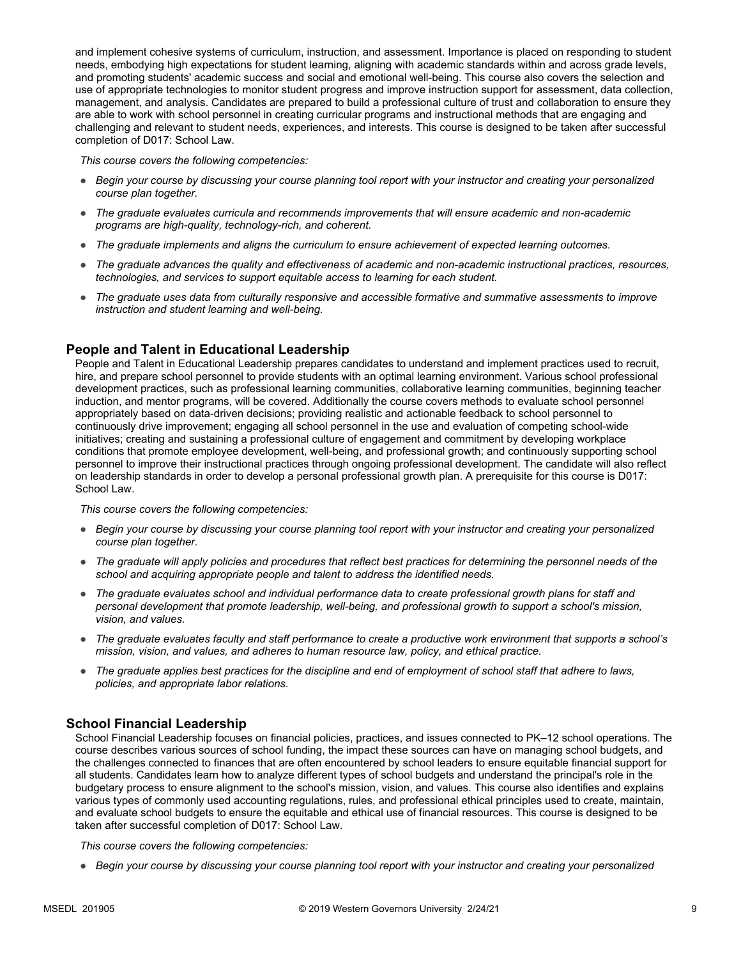and implement cohesive systems of curriculum, instruction, and assessment. Importance is placed on responding to student needs, embodying high expectations for student learning, aligning with academic standards within and across grade levels, and promoting students' academic success and social and emotional well-being. This course also covers the selection and use of appropriate technologies to monitor student progress and improve instruction support for assessment, data collection, management, and analysis. Candidates are prepared to build a professional culture of trust and collaboration to ensure they are able to work with school personnel in creating curricular programs and instructional methods that are engaging and challenging and relevant to student needs, experiences, and interests. This course is designed to be taken after successful completion of D017: School Law.

*This course covers the following competencies:*

- *Begin your course by discussing your course planning tool report with your instructor and creating your personalized course plan together.*
- *The graduate evaluates curricula and recommends improvements that will ensure academic and non-academic programs are high-quality, technology-rich, and coherent.*
- *The graduate implements and aligns the curriculum to ensure achievement of expected learning outcomes.*
- *The graduate advances the quality and effectiveness of academic and non-academic instructional practices, resources, technologies, and services to support equitable access to learning for each student.*
- *The graduate uses data from culturally responsive and accessible formative and summative assessments to improve instruction and student learning and well-being.*

#### **People and Talent in Educational Leadership**

People and Talent in Educational Leadership prepares candidates to understand and implement practices used to recruit, hire, and prepare school personnel to provide students with an optimal learning environment. Various school professional development practices, such as professional learning communities, collaborative learning communities, beginning teacher induction, and mentor programs, will be covered. Additionally the course covers methods to evaluate school personnel appropriately based on data-driven decisions; providing realistic and actionable feedback to school personnel to continuously drive improvement; engaging all school personnel in the use and evaluation of competing school-wide initiatives; creating and sustaining a professional culture of engagement and commitment by developing workplace conditions that promote employee development, well-being, and professional growth; and continuously supporting school personnel to improve their instructional practices through ongoing professional development. The candidate will also reflect on leadership standards in order to develop a personal professional growth plan. A prerequisite for this course is D017: School Law.

*This course covers the following competencies:*

- *Begin your course by discussing your course planning tool report with your instructor and creating your personalized course plan together.*
- *The graduate will apply policies and procedures that reflect best practices for determining the personnel needs of the school and acquiring appropriate people and talent to address the identified needs.*
- *The graduate evaluates school and individual performance data to create professional growth plans for staff and personal development that promote leadership, well-being, and professional growth to support a school's mission, vision, and values.*
- *The graduate evaluates faculty and staff performance to create a productive work environment that supports a school's mission, vision, and values, and adheres to human resource law, policy, and ethical practice.*
- *The graduate applies best practices for the discipline and end of employment of school staff that adhere to laws, policies, and appropriate labor relations.*

#### **School Financial Leadership**

School Financial Leadership focuses on financial policies, practices, and issues connected to PK–12 school operations. The course describes various sources of school funding, the impact these sources can have on managing school budgets, and the challenges connected to finances that are often encountered by school leaders to ensure equitable financial support for all students. Candidates learn how to analyze different types of school budgets and understand the principal's role in the budgetary process to ensure alignment to the school's mission, vision, and values. This course also identifies and explains various types of commonly used accounting regulations, rules, and professional ethical principles used to create, maintain, and evaluate school budgets to ensure the equitable and ethical use of financial resources. This course is designed to be taken after successful completion of D017: School Law.

*This course covers the following competencies:*

● *Begin your course by discussing your course planning tool report with your instructor and creating your personalized*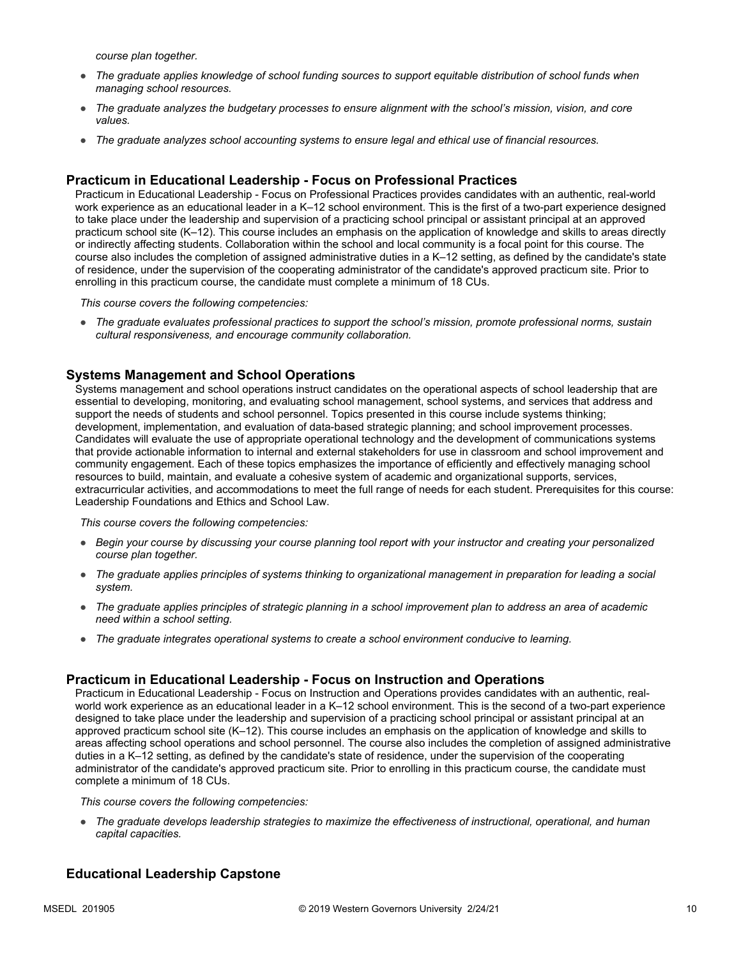*course plan together.*

- *The graduate applies knowledge of school funding sources to support equitable distribution of school funds when managing school resources.*
- *The graduate analyzes the budgetary processes to ensure alignment with the school's mission, vision, and core values.*
- *The graduate analyzes school accounting systems to ensure legal and ethical use of financial resources.*

#### **Practicum in Educational Leadership - Focus on Professional Practices**

Practicum in Educational Leadership - Focus on Professional Practices provides candidates with an authentic, real-world work experience as an educational leader in a K–12 school environment. This is the first of a two-part experience designed to take place under the leadership and supervision of a practicing school principal or assistant principal at an approved practicum school site (K–12). This course includes an emphasis on the application of knowledge and skills to areas directly or indirectly affecting students. Collaboration within the school and local community is a focal point for this course. The course also includes the completion of assigned administrative duties in a K–12 setting, as defined by the candidate's state of residence, under the supervision of the cooperating administrator of the candidate's approved practicum site. Prior to enrolling in this practicum course, the candidate must complete a minimum of 18 CUs.

*This course covers the following competencies:*

● *The graduate evaluates professional practices to support the school's mission, promote professional norms, sustain cultural responsiveness, and encourage community collaboration.*

#### **Systems Management and School Operations**

Systems management and school operations instruct candidates on the operational aspects of school leadership that are essential to developing, monitoring, and evaluating school management, school systems, and services that address and support the needs of students and school personnel. Topics presented in this course include systems thinking; development, implementation, and evaluation of data-based strategic planning; and school improvement processes. Candidates will evaluate the use of appropriate operational technology and the development of communications systems that provide actionable information to internal and external stakeholders for use in classroom and school improvement and community engagement. Each of these topics emphasizes the importance of efficiently and effectively managing school resources to build, maintain, and evaluate a cohesive system of academic and organizational supports, services, extracurricular activities, and accommodations to meet the full range of needs for each student. Prerequisites for this course: Leadership Foundations and Ethics and School Law.

*This course covers the following competencies:*

- *Begin your course by discussing your course planning tool report with your instructor and creating your personalized course plan together.*
- *The graduate applies principles of systems thinking to organizational management in preparation for leading a social system.*
- *The graduate applies principles of strategic planning in a school improvement plan to address an area of academic need within a school setting.*
- *The graduate integrates operational systems to create a school environment conducive to learning.*

#### **Practicum in Educational Leadership - Focus on Instruction and Operations**

Practicum in Educational Leadership - Focus on Instruction and Operations provides candidates with an authentic, realworld work experience as an educational leader in a K–12 school environment. This is the second of a two-part experience designed to take place under the leadership and supervision of a practicing school principal or assistant principal at an approved practicum school site (K–12). This course includes an emphasis on the application of knowledge and skills to areas affecting school operations and school personnel. The course also includes the completion of assigned administrative duties in a K–12 setting, as defined by the candidate's state of residence, under the supervision of the cooperating administrator of the candidate's approved practicum site. Prior to enrolling in this practicum course, the candidate must complete a minimum of 18 CUs.

*This course covers the following competencies:*

● *The graduate develops leadership strategies to maximize the effectiveness of instructional, operational, and human capital capacities.*

#### **Educational Leadership Capstone**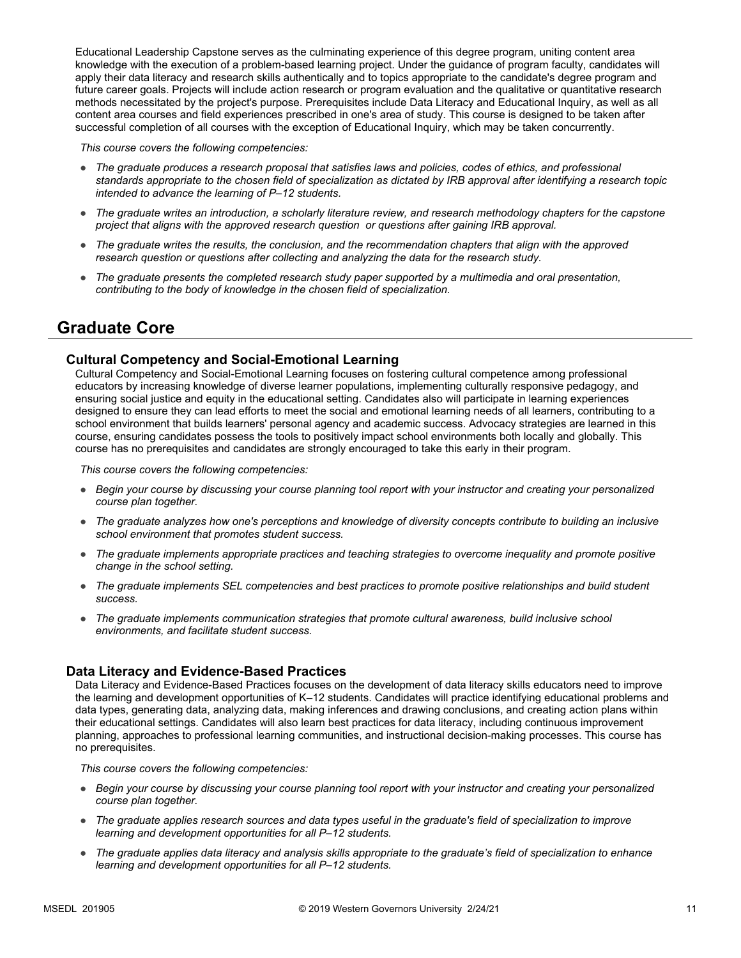Educational Leadership Capstone serves as the culminating experience of this degree program, uniting content area knowledge with the execution of a problem-based learning project. Under the guidance of program faculty, candidates will apply their data literacy and research skills authentically and to topics appropriate to the candidate's degree program and future career goals. Projects will include action research or program evaluation and the qualitative or quantitative research methods necessitated by the project's purpose. Prerequisites include Data Literacy and Educational Inquiry, as well as all content area courses and field experiences prescribed in one's area of study. This course is designed to be taken after successful completion of all courses with the exception of Educational Inquiry, which may be taken concurrently.

*This course covers the following competencies:*

- *The graduate produces a research proposal that satisfies laws and policies, codes of ethics, and professional standards appropriate to the chosen field of specialization as dictated by IRB approval after identifying a research topic intended to advance the learning of P–12 students.*
- *The graduate writes an introduction, a scholarly literature review, and research methodology chapters for the capstone project that aligns with the approved research question or questions after gaining IRB approval.*
- *The graduate writes the results, the conclusion, and the recommendation chapters that align with the approved research question or questions after collecting and analyzing the data for the research study.*
- *The graduate presents the completed research study paper supported by a multimedia and oral presentation, contributing to the body of knowledge in the chosen field of specialization.*

### **Graduate Core**

#### **Cultural Competency and Social-Emotional Learning**

Cultural Competency and Social-Emotional Learning focuses on fostering cultural competence among professional educators by increasing knowledge of diverse learner populations, implementing culturally responsive pedagogy, and ensuring social justice and equity in the educational setting. Candidates also will participate in learning experiences designed to ensure they can lead efforts to meet the social and emotional learning needs of all learners, contributing to a school environment that builds learners' personal agency and academic success. Advocacy strategies are learned in this course, ensuring candidates possess the tools to positively impact school environments both locally and globally. This course has no prerequisites and candidates are strongly encouraged to take this early in their program.

*This course covers the following competencies:*

- *Begin your course by discussing your course planning tool report with your instructor and creating your personalized course plan together.*
- *The graduate analyzes how one's perceptions and knowledge of diversity concepts contribute to building an inclusive school environment that promotes student success.*
- *The graduate implements appropriate practices and teaching strategies to overcome inequality and promote positive change in the school setting.*
- *The graduate implements SEL competencies and best practices to promote positive relationships and build student success.*
- *The graduate implements communication strategies that promote cultural awareness, build inclusive school environments, and facilitate student success.*

#### **Data Literacy and Evidence-Based Practices**

Data Literacy and Evidence-Based Practices focuses on the development of data literacy skills educators need to improve the learning and development opportunities of K–12 students. Candidates will practice identifying educational problems and data types, generating data, analyzing data, making inferences and drawing conclusions, and creating action plans within their educational settings. Candidates will also learn best practices for data literacy, including continuous improvement planning, approaches to professional learning communities, and instructional decision-making processes. This course has no prerequisites.

*This course covers the following competencies:*

- *Begin your course by discussing your course planning tool report with your instructor and creating your personalized course plan together.*
- *The graduate applies research sources and data types useful in the graduate's field of specialization to improve learning and development opportunities for all P–12 students.*
- *The graduate applies data literacy and analysis skills appropriate to the graduate's field of specialization to enhance learning and development opportunities for all P–12 students.*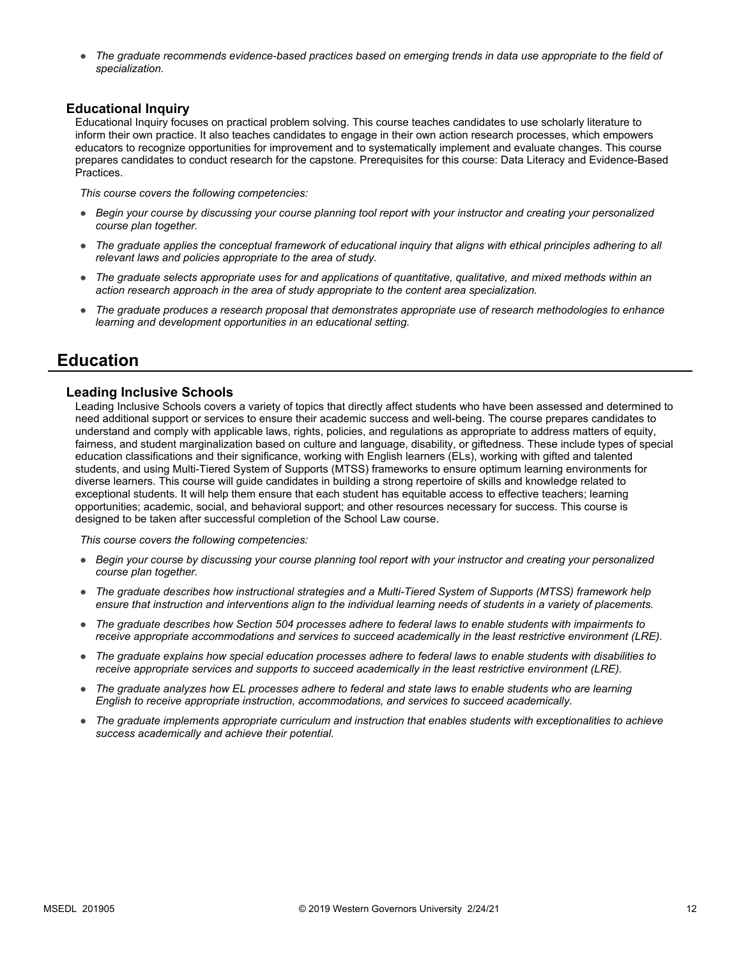The graduate recommends evidence-based practices based on emerging trends in data use appropriate to the field of *specialization.*

#### **Educational Inquiry**

Educational Inquiry focuses on practical problem solving. This course teaches candidates to use scholarly literature to inform their own practice. It also teaches candidates to engage in their own action research processes, which empowers educators to recognize opportunities for improvement and to systematically implement and evaluate changes. This course prepares candidates to conduct research for the capstone. Prerequisites for this course: Data Literacy and Evidence-Based Practices.

*This course covers the following competencies:*

- *Begin your course by discussing your course planning tool report with your instructor and creating your personalized course plan together.*
- *The graduate applies the conceptual framework of educational inquiry that aligns with ethical principles adhering to all relevant laws and policies appropriate to the area of study.*
- *The graduate selects appropriate uses for and applications of quantitative, qualitative, and mixed methods within an action research approach in the area of study appropriate to the content area specialization.*
- *The graduate produces a research proposal that demonstrates appropriate use of research methodologies to enhance learning and development opportunities in an educational setting.*

### **Education**

#### **Leading Inclusive Schools**

Leading Inclusive Schools covers a variety of topics that directly affect students who have been assessed and determined to need additional support or services to ensure their academic success and well-being. The course prepares candidates to understand and comply with applicable laws, rights, policies, and regulations as appropriate to address matters of equity, fairness, and student marginalization based on culture and language, disability, or giftedness. These include types of special education classifications and their significance, working with English learners (ELs), working with gifted and talented students, and using Multi-Tiered System of Supports (MTSS) frameworks to ensure optimum learning environments for diverse learners. This course will guide candidates in building a strong repertoire of skills and knowledge related to exceptional students. It will help them ensure that each student has equitable access to effective teachers; learning opportunities; academic, social, and behavioral support; and other resources necessary for success. This course is designed to be taken after successful completion of the School Law course.

*This course covers the following competencies:*

- *Begin your course by discussing your course planning tool report with your instructor and creating your personalized course plan together.*
- *The graduate describes how instructional strategies and a Multi-Tiered System of Supports (MTSS) framework help ensure that instruction and interventions align to the individual learning needs of students in a variety of placements.*
- *The graduate describes how Section 504 processes adhere to federal laws to enable students with impairments to receive appropriate accommodations and services to succeed academically in the least restrictive environment (LRE).*
- *The graduate explains how special education processes adhere to federal laws to enable students with disabilities to receive appropriate services and supports to succeed academically in the least restrictive environment (LRE).*
- *The graduate analyzes how EL processes adhere to federal and state laws to enable students who are learning English to receive appropriate instruction, accommodations, and services to succeed academically.*
- *The graduate implements appropriate curriculum and instruction that enables students with exceptionalities to achieve success academically and achieve their potential.*